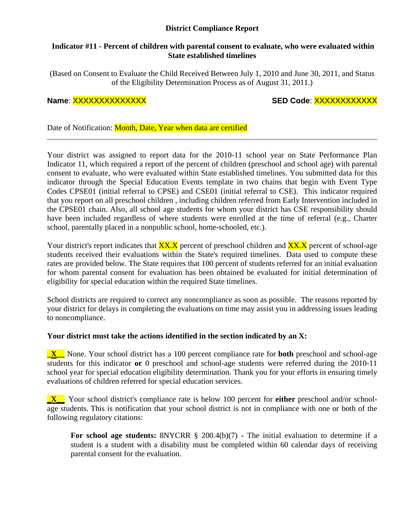# **District Compliance Report**

### **Indicator #11 - Percent of children with parental consent to evaluate, who were evaluated within State established timelines**

(Based on Consent to Evaluate the Child Received Between July 1, 2010 and June 30, 2011, and Status of the Eligibility Determination Process as of August 31, 2011.)

# **Name**: XXXXXXXXXXXXXX **SED Code**: XXXXXXXXXXXX

Date of Notification: Month, Date, Year when data are certified

Your district was assigned to report data for the 2010-11 school year on State Performance Plan Indicator 11, which required a report of the percent of children (preschool and school age) with parental consent to evaluate, who were evaluated within State established timelines. You submitted data for this indicator through the Special Education Events template in two chains that begin with Event Type Codes CPSE01 (initial referral to CPSE) and CSE01 (initial referral to CSE). This indicator required that you report on all preschool children , including children referred from Early Intervention included in the CPSE01 chain. Also, all school age students for whom your district has CSE responsibility should have been included regardless of where students were enrolled at the time of referral (e.g., Charter school, parentally placed in a nonpublic school, home-schooled, etc.).

Your district's report indicates that  $\frac{XX.X}{XX}$  percent of preschool children and  $\frac{XX.X}{XX}$  percent of school-age students received their evaluations within the State's required timelines. Data used to compute these rates are provided below. The State requires that 100 percent of students referred for an initial evaluation for whom parental consent for evaluation has been obtained be evaluated for initial determination of eligibility for special education within the required State timelines.

School districts are required to correct any noncompliance as soon as possible. The reasons reported by your district for delays in completing the evaluations on time may assist you in addressing issues leading to noncompliance.

# **Your district must take the actions identified in the section indicated by an X:**

**\_X\_\_** None. Your school district has a 100 percent compliance rate for **both** preschool and school-age students for this indicator **or** 0 preschool and school-age students were referred during the 2010-11 school year for special education eligibility determination. Thank you for your efforts in ensuring timely evaluations of children referred for special education services.

**\_X\_\_** Your school district's compliance rate is below 100 percent for **either** preschool and/or schoolage students. This is notification that your school district is not in compliance with one or both of the following regulatory citations:

**For school age students:** 8NYCRR § 200.4(b)(7) - The initial evaluation to determine if a student is a student with a disability must be completed within 60 calendar days of receiving parental consent for the evaluation.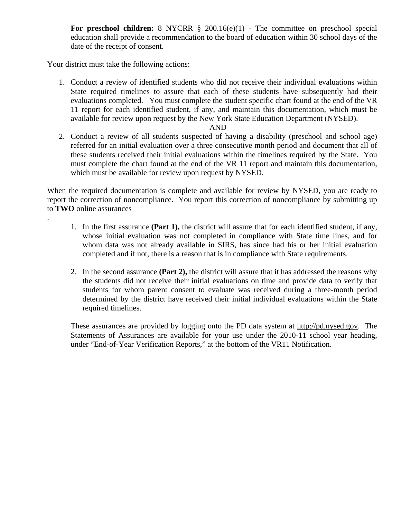**For preschool children:** 8 NYCRR § 200.16(e)(1) - The committee on preschool special education shall provide a recommendation to the board of education within 30 school days of the date of the receipt of consent.

Your district must take the following actions:

.

1. Conduct a review of identified students who did not receive their individual evaluations within State required timelines to assure that each of these students have subsequently had their evaluations completed. You must complete the student specific chart found at the end of the VR 11 report for each identified student, if any, and maintain this documentation, which must be available for review upon request by the New York State Education Department (NYSED).

#### AND

2. Conduct a review of all students suspected of having a disability (preschool and school age) referred for an initial evaluation over a three consecutive month period and document that all of these students received their initial evaluations within the timelines required by the State. You must complete the chart found at the end of the VR 11 report and maintain this documentation, which must be available for review upon request by NYSED.

When the required documentation is complete and available for review by NYSED, you are ready to report the correction of noncompliance. You report this correction of noncompliance by submitting up to **TWO** online assurances

- 1. In the first assurance **(Part 1),** the district will assure that for each identified student, if any, whose initial evaluation was not completed in compliance with State time lines, and for whom data was not already available in SIRS, has since had his or her initial evaluation completed and if not, there is a reason that is in compliance with State requirements.
- 2. In the second assurance **(Part 2),** the district will assure that it has addressed the reasons why the students did not receive their initial evaluations on time and provide data to verify that students for whom parent consent to evaluate was received during a three-month period determined by the district have received their initial individual evaluations within the State required timelines.

These assurances are provided by logging onto the PD data system at http://pd.nysed.gov. The Statements of Assurances are available for your use under the 2010-11 school year heading, under "End-of-Year Verification Reports," at the bottom of the VR11 Notification.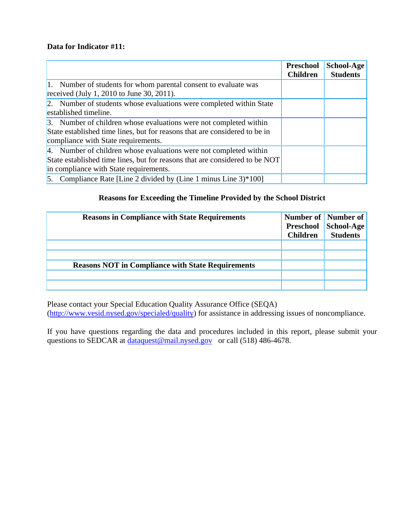# **Data for Indicator #11:**

|                                                                             | <b>Preschool</b><br><b>Children</b> | School-Age<br><b>Students</b> |
|-----------------------------------------------------------------------------|-------------------------------------|-------------------------------|
| 1. Number of students for whom parental consent to evaluate was             |                                     |                               |
| received (July 1, 2010 to June 30, 2011).                                   |                                     |                               |
| 2. Number of students whose evaluations were completed within State         |                                     |                               |
| established timeline.                                                       |                                     |                               |
| 3. Number of children whose evaluations were not completed within           |                                     |                               |
| State established time lines, but for reasons that are considered to be in  |                                     |                               |
| compliance with State requirements.                                         |                                     |                               |
| 4. Number of children whose evaluations were not completed within           |                                     |                               |
| State established time lines, but for reasons that are considered to be NOT |                                     |                               |
| in compliance with State requirements.                                      |                                     |                               |
| 5. Compliance Rate [Line 2 divided by (Line 1 minus Line $3$ )*100]         |                                     |                               |

# **Reasons for Exceeding the Timeline Provided by the School District**

| <b>Reasons in Compliance with State Requirements</b>     | <b>Children</b> | Number of Number of<br>Preschool School-Age<br><b>Students</b> |
|----------------------------------------------------------|-----------------|----------------------------------------------------------------|
|                                                          |                 |                                                                |
|                                                          |                 |                                                                |
| <b>Reasons NOT in Compliance with State Requirements</b> |                 |                                                                |
|                                                          |                 |                                                                |
|                                                          |                 |                                                                |

Please contact your Special Education Quality Assurance Office (SEQA) (http://www.vesid.nysed.gov/specialed/quality) for assistance in addressing issues of noncompliance.

If you have questions regarding the data and procedures included in this report, please submit your questions to SEDCAR at dataquest@mail.nysed.gov or call (518) 486-4678.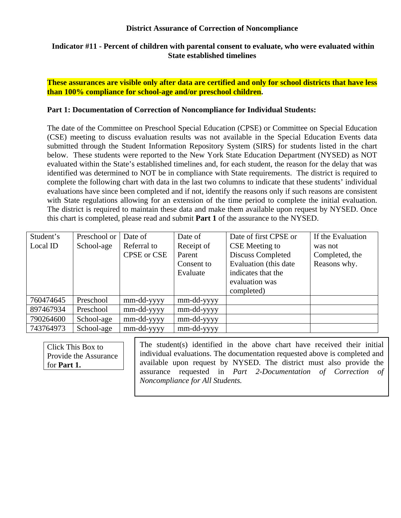### **District Assurance of Correction of Noncompliance**

### **Indicator #11 - Percent of children with parental consent to evaluate, who were evaluated within State established timelines**

**These assurances are visible only after data are certified and only for school districts that have less than 100% compliance for school-age and/or preschool children.** 

### **Part 1: Documentation of Correction of Noncompliance for Individual Students:**

The date of the Committee on Preschool Special Education (CPSE) or Committee on Special Education (CSE) meeting to discuss evaluation results was not available in the Special Education Events data submitted through the Student Information Repository System (SIRS) for students listed in the chart below. These students were reported to the New York State Education Department (NYSED) as NOT evaluated within the State's established timelines and, for each student, the reason for the delay that was identified was determined to NOT be in compliance with State requirements. The district is required to complete the following chart with data in the last two columns to indicate that these students' individual evaluations have since been completed and if not, identify the reasons only if such reasons are consistent with State regulations allowing for an extension of the time period to complete the initial evaluation. The district is required to maintain these data and make them available upon request by NYSED. Once this chart is completed, please read and submit **Part 1** of the assurance to the NYSED.

| Student's | Preschool or | Date of     | Date of    | Date of first CPSE or  | If the Evaluation |
|-----------|--------------|-------------|------------|------------------------|-------------------|
| Local ID  | School-age   | Referral to | Receipt of | CSE Meeting to         | was not           |
|           |              | CPSE or CSE | Parent     | Discuss Completed      | Completed, the    |
|           |              |             | Consent to | Evaluation (this date) | Reasons why.      |
|           |              |             | Evaluate   | indicates that the     |                   |
|           |              |             |            | evaluation was         |                   |
|           |              |             |            | completed)             |                   |
| 760474645 | Preschool    | mm-dd-yyyy  | mm-dd-yyyy |                        |                   |
| 897467934 | Preschool    | mm-dd-yyyy  | mm-dd-yyyy |                        |                   |
| 790264600 | School-age   | mm-dd-yyyy  | mm-dd-yyyy |                        |                   |
| 743764973 | School-age   | mm-dd-yyyy  | mm-dd-yyyy |                        |                   |

Click This Box to Provide the Assurance for **Part 1.**

The student(s) identified in the above chart have received their initial individual evaluations. The documentation requested above is completed and available upon request by NYSED. The district must also provide the assurance requested in *Part 2-Documentation of Correction of Noncompliance for All Students.*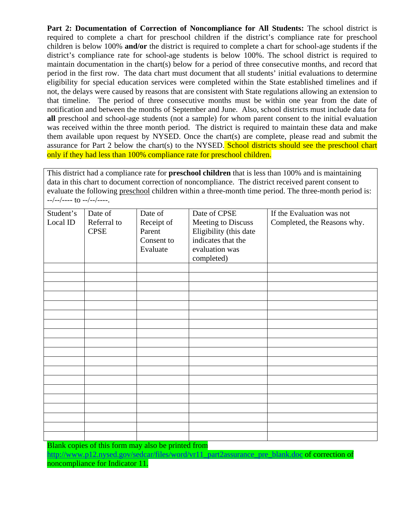**Part 2: Documentation of Correction of Noncompliance for All Students:** The school district is required to complete a chart for preschool children if the district's compliance rate for preschool children is below 100% **and/or** the district is required to complete a chart for school-age students if the district's compliance rate for school-age students is below 100%. The school district is required to maintain documentation in the chart(s) below for a period of three consecutive months, and record that period in the first row. The data chart must document that all students' initial evaluations to determine eligibility for special education services were completed within the State established timelines and if not, the delays were caused by reasons that are consistent with State regulations allowing an extension to that timeline. The period of three consecutive months must be within one year from the date of notification and between the months of September and June. Also, school districts must include data for **all** preschool and school-age students (not a sample) for whom parent consent to the initial evaluation was received within the three month period. The district is required to maintain these data and make them available upon request by NYSED. Once the chart(s) are complete, please read and submit the assurance for Part 2 below the chart(s) to the NYSED. School districts should see the preschool chart only if they had less than 100% compliance rate for preschool children.

This district had a compliance rate for **preschool children** that is less than 100% and is maintaining data in this chart to document correction of noncompliance. The district received parent consent to evaluate the following preschool children within a three-month time period. The three-month period is: --/--/---- to --/--/----.

| Student's | Date of     | Date of    | Date of CPSE           | If the Evaluation was not   |
|-----------|-------------|------------|------------------------|-----------------------------|
| Local ID  | Referral to | Receipt of | Meeting to Discuss     | Completed, the Reasons why. |
|           | <b>CPSE</b> | Parent     | Eligibility (this date |                             |
|           |             | Consent to | indicates that the     |                             |
|           |             | Evaluate   | evaluation was         |                             |
|           |             |            | completed)             |                             |
|           |             |            |                        |                             |
|           |             |            |                        |                             |
|           |             |            |                        |                             |
|           |             |            |                        |                             |
|           |             |            |                        |                             |
|           |             |            |                        |                             |
|           |             |            |                        |                             |
|           |             |            |                        |                             |
|           |             |            |                        |                             |
|           |             |            |                        |                             |
|           |             |            |                        |                             |
|           |             |            |                        |                             |
|           |             |            |                        |                             |
|           |             |            |                        |                             |
|           |             |            |                        |                             |
|           |             |            |                        |                             |
|           |             |            |                        |                             |
|           |             |            |                        |                             |
|           |             |            |                        |                             |
|           |             |            |                        |                             |

Blank copies of this form may also be printed from

http://www.p12.nysed.gov/sedcar/files/word/vr11\_part2assurance\_pre\_blank.doc of correction of noncompliance for Indicator 11.